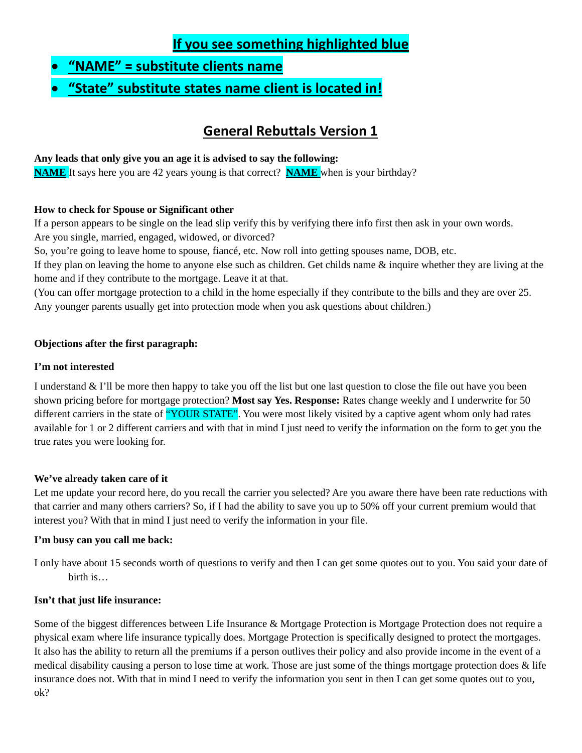# **If you see something highlighted blue**

- **"NAME" = substitute clients name**
- **"State" substitute states name client is located in!**

# **General Rebuttals Version 1**

#### **Any leads that only give you an age it is advised to say the following:**

**NAME** It says here you are 42 years young is that correct? **NAME** when is your birthday?

#### **How to check for Spouse or Significant other**

If a person appears to be single on the lead slip verify this by verifying there info first then ask in your own words. Are you single, married, engaged, widowed, or divorced?

So, you're going to leave home to spouse, fiancé, etc. Now roll into getting spouses name, DOB, etc.

If they plan on leaving the home to anyone else such as children. Get childs name & inquire whether they are living at the home and if they contribute to the mortgage. Leave it at that.

(You can offer mortgage protection to a child in the home especially if they contribute to the bills and they are over 25. Any younger parents usually get into protection mode when you ask questions about children.)

#### **Objections after the first paragraph:**

#### **I'm not interested**

I understand & I'll be more then happy to take you off the list but one last question to close the file out have you been shown pricing before for mortgage protection? **Most say Yes. Response:** Rates change weekly and I underwrite for 50 different carriers in the state of "YOUR STATE". You were most likely visited by a captive agent whom only had rates available for 1 or 2 different carriers and with that in mind I just need to verify the information on the form to get you the true rates you were looking for.

#### **We've already taken care of it**

Let me update your record here, do you recall the carrier you selected? Are you aware there have been rate reductions with that carrier and many others carriers? So, if I had the ability to save you up to 50% off your current premium would that interest you? With that in mind I just need to verify the information in your file.

#### **I'm busy can you call me back:**

I only have about 15 seconds worth of questions to verify and then I can get some quotes out to you. You said your date of birth is…

#### **Isn't that just life insurance:**

Some of the biggest differences between Life Insurance & Mortgage Protection is Mortgage Protection does not require a physical exam where life insurance typically does. Mortgage Protection is specifically designed to protect the mortgages. It also has the ability to return all the premiums if a person outlives their policy and also provide income in the event of a medical disability causing a person to lose time at work. Those are just some of the things mortgage protection does  $\&$  life insurance does not. With that in mind I need to verify the information you sent in then I can get some quotes out to you, ok?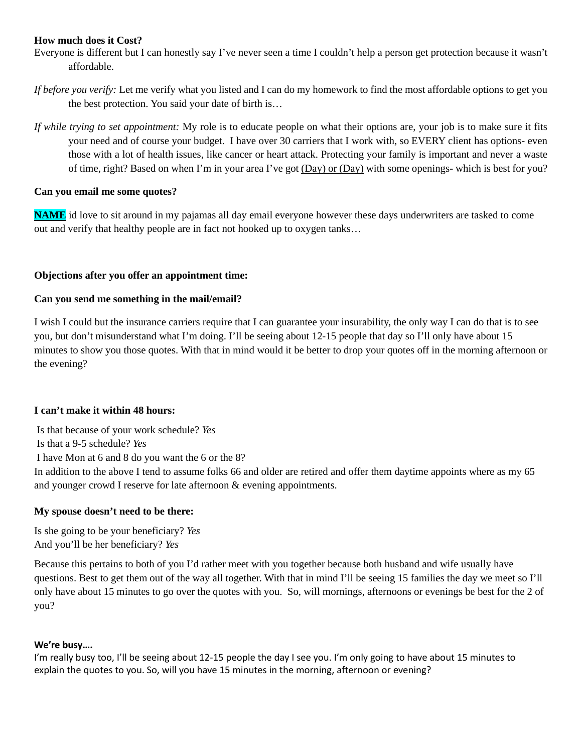#### **How much does it Cost?**

- Everyone is different but I can honestly say I've never seen a time I couldn't help a person get protection because it wasn't affordable.
- *If before you verify:* Let me verify what you listed and I can do my homework to find the most affordable options to get you the best protection. You said your date of birth is…
- *If while trying to set appointment:* My role is to educate people on what their options are, your job is to make sure it fits your need and of course your budget. I have over 30 carriers that I work with, so EVERY client has options- even those with a lot of health issues, like cancer or heart attack. Protecting your family is important and never a waste of time, right? Based on when I'm in your area I've got (Day) or (Day) with some openings- which is best for you?

#### **Can you email me some quotes?**

**NAME** id love to sit around in my pajamas all day email everyone however these days underwriters are tasked to come out and verify that healthy people are in fact not hooked up to oxygen tanks…

#### **Objections after you offer an appointment time:**

#### **Can you send me something in the mail/email?**

I wish I could but the insurance carriers require that I can guarantee your insurability, the only way I can do that is to see you, but don't misunderstand what I'm doing. I'll be seeing about 12-15 people that day so I'll only have about 15 minutes to show you those quotes. With that in mind would it be better to drop your quotes off in the morning afternoon or the evening?

#### **I can't make it within 48 hours:**

Is that because of your work schedule? *Yes* Is that a 9-5 schedule? *Yes*  I have Mon at 6 and 8 do you want the 6 or the 8? In addition to the above I tend to assume folks 66 and older are retired and offer them daytime appoints where as my 65

and younger crowd I reserve for late afternoon & evening appointments.

#### **My spouse doesn't need to be there:**

Is she going to be your beneficiary? *Yes* And you'll be her beneficiary? *Yes*

Because this pertains to both of you I'd rather meet with you together because both husband and wife usually have questions. Best to get them out of the way all together. With that in mind I'll be seeing 15 families the day we meet so I'll only have about 15 minutes to go over the quotes with you. So, will mornings, afternoons or evenings be best for the 2 of you?

#### **We're busy….**

I'm really busy too, I'll be seeing about 12-15 people the day I see you. I'm only going to have about 15 minutes to explain the quotes to you. So, will you have 15 minutes in the morning, afternoon or evening?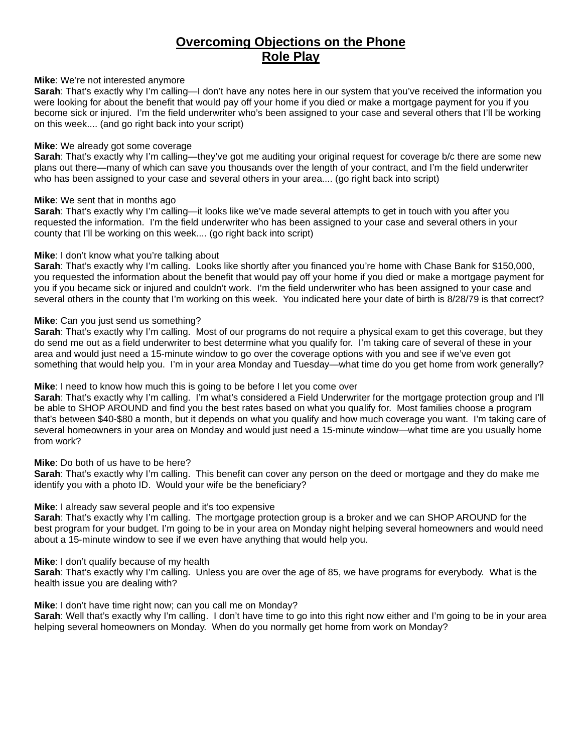### **Overcoming Objections on the Phone Role Play**

#### **Mike**: We're not interested anymore

**Sarah**: That's exactly why I'm calling—I don't have any notes here in our system that you've received the information you were looking for about the benefit that would pay off your home if you died or make a mortgage payment for you if you become sick or injured. I'm the field underwriter who's been assigned to your case and several others that I'll be working on this week.... (and go right back into your script)

#### **Mike**: We already got some coverage

**Sarah**: That's exactly why I'm calling—they've got me auditing your original request for coverage b/c there are some new plans out there—many of which can save you thousands over the length of your contract, and I'm the field underwriter who has been assigned to your case and several others in your area.... (go right back into script)

#### **Mike**: We sent that in months ago

**Sarah**: That's exactly why I'm calling—it looks like we've made several attempts to get in touch with you after you requested the information. I'm the field underwriter who has been assigned to your case and several others in your county that I'll be working on this week.... (go right back into script)

#### **Mike**: I don't know what you're talking about

**Sarah**: That's exactly why I'm calling. Looks like shortly after you financed you're home with Chase Bank for \$150,000, you requested the information about the benefit that would pay off your home if you died or make a mortgage payment for you if you became sick or injured and couldn't work. I'm the field underwriter who has been assigned to your case and several others in the county that I'm working on this week. You indicated here your date of birth is 8/28/79 is that correct?

#### **Mike**: Can you just send us something?

**Sarah**: That's exactly why I'm calling. Most of our programs do not require a physical exam to get this coverage, but they do send me out as a field underwriter to best determine what you qualify for. I'm taking care of several of these in your area and would just need a 15-minute window to go over the coverage options with you and see if we've even got something that would help you. I'm in your area Monday and Tuesday—what time do you get home from work generally?

#### **Mike**: I need to know how much this is going to be before I let you come over

**Sarah**: That's exactly why I'm calling. I'm what's considered a Field Underwriter for the mortgage protection group and I'll be able to SHOP AROUND and find you the best rates based on what you qualify for. Most families choose a program that's between \$40-\$80 a month, but it depends on what you qualify and how much coverage you want. I'm taking care of several homeowners in your area on Monday and would just need a 15-minute window—what time are you usually home from work?

#### **Mike**: Do both of us have to be here?

**Sarah**: That's exactly why I'm calling. This benefit can cover any person on the deed or mortgage and they do make me identify you with a photo ID. Would your wife be the beneficiary?

#### **Mike**: I already saw several people and it's too expensive

**Sarah**: That's exactly why I'm calling. The mortgage protection group is a broker and we can SHOP AROUND for the best program for your budget. I'm going to be in your area on Monday night helping several homeowners and would need about a 15-minute window to see if we even have anything that would help you.

#### **Mike**: I don't qualify because of my health

**Sarah**: That's exactly why I'm calling. Unless you are over the age of 85, we have programs for everybody. What is the health issue you are dealing with?

#### **Mike**: I don't have time right now; can you call me on Monday?

**Sarah**: Well that's exactly why I'm calling. I don't have time to go into this right now either and I'm going to be in your area helping several homeowners on Monday. When do you normally get home from work on Monday?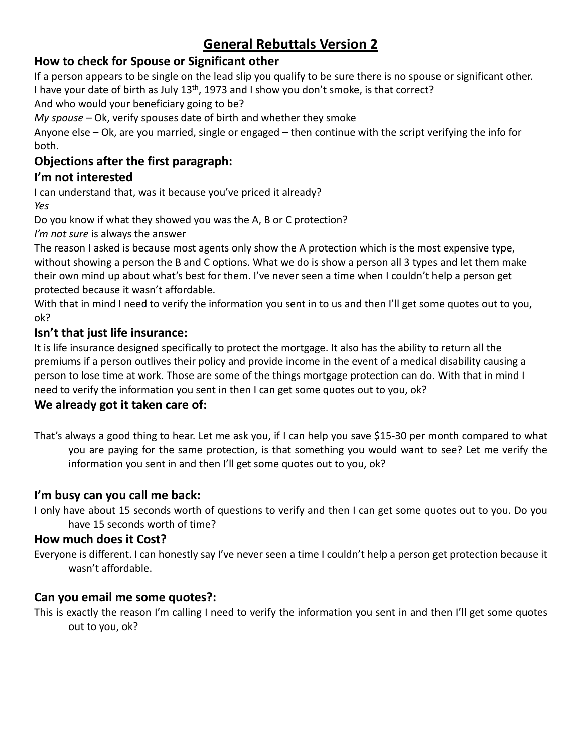# **General Rebuttals Version 2**

# **How to check for Spouse or Significant other**

If a person appears to be single on the lead slip you qualify to be sure there is no spouse or significant other. I have your date of birth as July  $13<sup>th</sup>$ , 1973 and I show you don't smoke, is that correct?

And who would your beneficiary going to be?

*My spouse –* Ok, verify spouses date of birth and whether they smoke

Anyone else – Ok, are you married, single or engaged – then continue with the script verifying the info for both.

# **Objections after the first paragraph:**

# **I'm not interested**

I can understand that, was it because you've priced it already? *Yes*

Do you know if what they showed you was the A, B or C protection?

*I'm not sure* is always the answer

The reason I asked is because most agents only show the A protection which is the most expensive type, without showing a person the B and C options. What we do is show a person all 3 types and let them make their own mind up about what's best for them. I've never seen a time when I couldn't help a person get protected because it wasn't affordable.

With that in mind I need to verify the information you sent in to us and then I'll get some quotes out to you, ok?

# **Isn't that just life insurance:**

It is life insurance designed specifically to protect the mortgage. It also has the ability to return all the premiums if a person outlives their policy and provide income in the event of a medical disability causing a person to lose time at work. Those are some of the things mortgage protection can do. With that in mind I need to verify the information you sent in then I can get some quotes out to you, ok?

# **We already got it taken care of:**

That's always a good thing to hear. Let me ask you, if I can help you save \$15-30 per month compared to what you are paying for the same protection, is that something you would want to see? Let me verify the information you sent in and then I'll get some quotes out to you, ok?

# **I'm busy can you call me back:**

I only have about 15 seconds worth of questions to verify and then I can get some quotes out to you. Do you have 15 seconds worth of time?

# **How much does it Cost?**

Everyone is different. I can honestly say I've never seen a time I couldn't help a person get protection because it wasn't affordable.

# **Can you email me some quotes?:**

This is exactly the reason I'm calling I need to verify the information you sent in and then I'll get some quotes out to you, ok?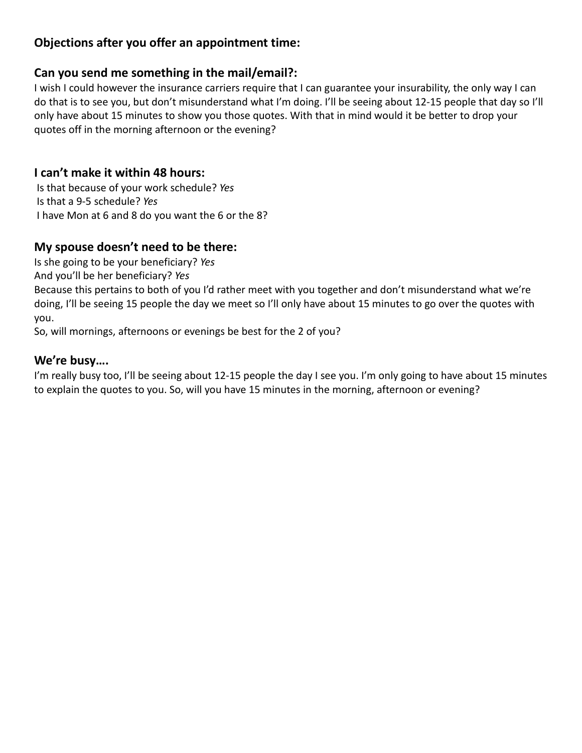# **Objections after you offer an appointment time:**

### **Can you send me something in the mail/email?:**

I wish I could however the insurance carriers require that I can guarantee your insurability, the only way I can do that is to see you, but don't misunderstand what I'm doing. I'll be seeing about 12-15 people that day so I'll only have about 15 minutes to show you those quotes. With that in mind would it be better to drop your quotes off in the morning afternoon or the evening?

### **I can't make it within 48 hours:**

Is that because of your work schedule? *Yes* Is that a 9-5 schedule? *Yes*  I have Mon at 6 and 8 do you want the 6 or the 8?

# **My spouse doesn't need to be there:**

Is she going to be your beneficiary? *Yes*

And you'll be her beneficiary? *Yes*

Because this pertains to both of you I'd rather meet with you together and don't misunderstand what we're doing, I'll be seeing 15 people the day we meet so I'll only have about 15 minutes to go over the quotes with you.

So, will mornings, afternoons or evenings be best for the 2 of you?

### **We're busy….**

I'm really busy too, I'll be seeing about 12-15 people the day I see you. I'm only going to have about 15 minutes to explain the quotes to you. So, will you have 15 minutes in the morning, afternoon or evening?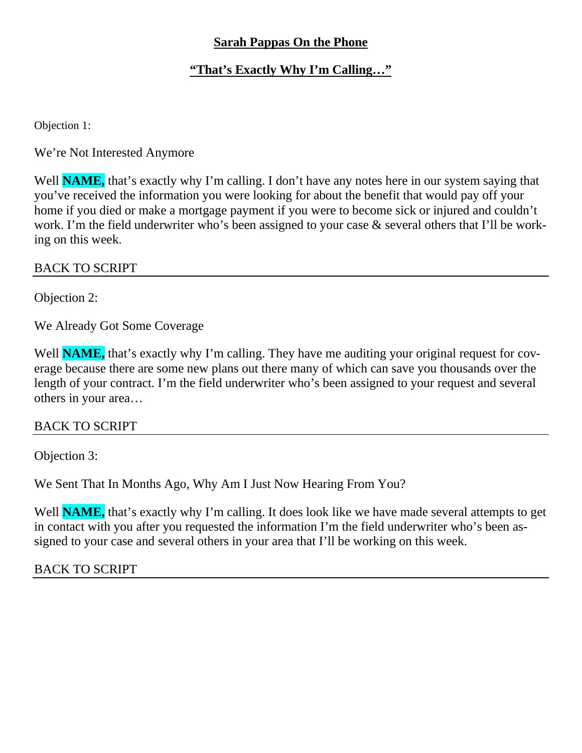# **Sarah Pappas On the Phone**

# **"That's Exactly Why I'm Calling…"**

Objection 1:

We're Not Interested Anymore

Well **NAME**, that's exactly why I'm calling. I don't have any notes here in our system saying that you've received the information you were looking for about the benefit that would pay off your home if you died or make a mortgage payment if you were to become sick or injured and couldn't work. I'm the field underwriter who's been assigned to your case & several others that I'll be working on this week.

### BACK TO SCRIPT

Objection 2:

We Already Got Some Coverage

Well **NAME**, that's exactly why I'm calling. They have me auditing your original request for coverage because there are some new plans out there many of which can save you thousands over the length of your contract. I'm the field underwriter who's been assigned to your request and several others in your area…

### BACK TO SCRIPT

Objection 3:

We Sent That In Months Ago, Why Am I Just Now Hearing From You?

Well **NAME**, that's exactly why I'm calling. It does look like we have made several attempts to get in contact with you after you requested the information I'm the field underwriter who's been assigned to your case and several others in your area that I'll be working on this week.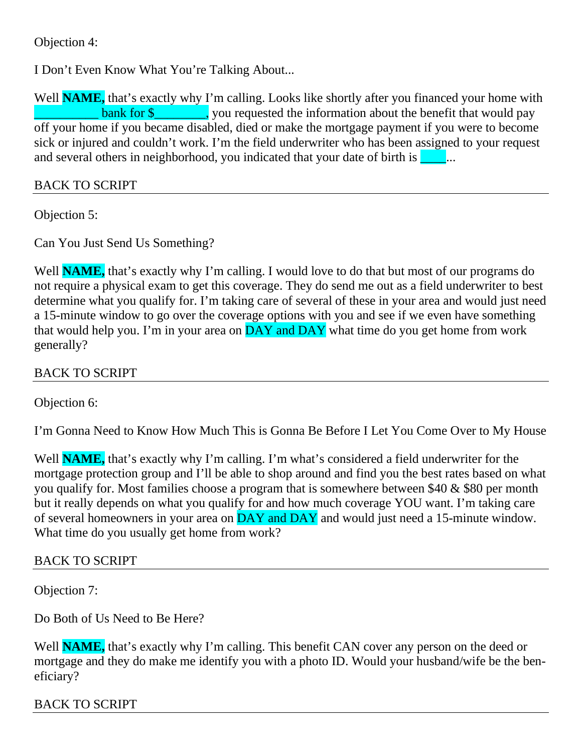Objection 4:

I Don't Even Know What You're Talking About...

Well **NAME**, that's exactly why I'm calling. Looks like shortly after you financed your home with  $\frac{1}{2}$  bank for \$\_\_\_\_\_\_\_\_\_, you requested the information about the benefit that would pay off your home if you became disabled, died or make the mortgage payment if you were to become sick or injured and couldn't work. I'm the field underwriter who has been assigned to your request and several others in neighborhood, you indicated that your date of birth is  $\blacksquare$ ...

### BACK TO SCRIPT

Objection 5:

Can You Just Send Us Something?

Well **NAME**, that's exactly why I'm calling. I would love to do that but most of our programs do not require a physical exam to get this coverage. They do send me out as a field underwriter to best determine what you qualify for. I'm taking care of several of these in your area and would just need a 15-minute window to go over the coverage options with you and see if we even have something that would help you. I'm in your area on  $\overline{DAY}$  and  $\overline{DAY}$  what time do you get home from work generally?

BACK TO SCRIPT

Objection 6:

I'm Gonna Need to Know How Much This is Gonna Be Before I Let You Come Over to My House

Well **NAME**, that's exactly why I'm calling. I'm what's considered a field underwriter for the mortgage protection group and I'll be able to shop around and find you the best rates based on what you qualify for. Most families choose a program that is somewhere between \$40 & \$80 per month but it really depends on what you qualify for and how much coverage YOU want. I'm taking care of several homeowners in your area on **DAY** and **DAY** and would just need a 15-minute window. What time do you usually get home from work?

# BACK TO SCRIPT

Objection 7:

Do Both of Us Need to Be Here?

Well **NAME**, that's exactly why I'm calling. This benefit CAN cover any person on the deed or mortgage and they do make me identify you with a photo ID. Would your husband/wife be the beneficiary?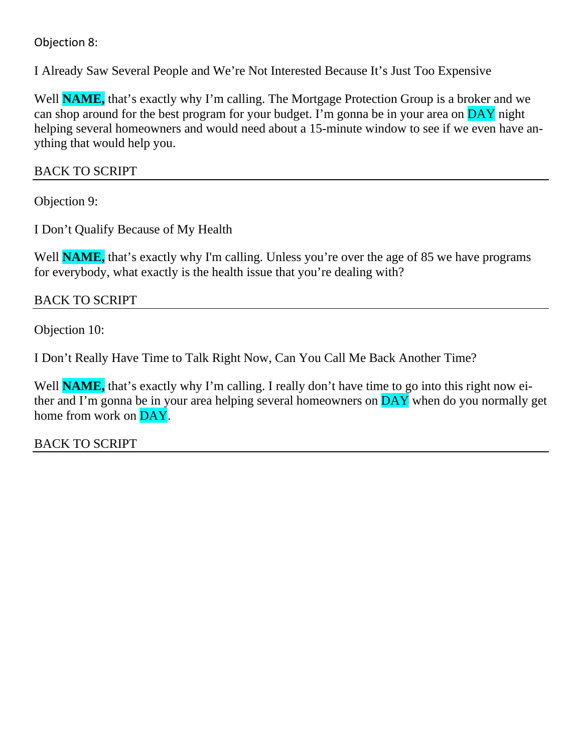# Objection 8:

I Already Saw Several People and We're Not Interested Because It's Just Too Expensive

Well **NAME**, that's exactly why I'm calling. The Mortgage Protection Group is a broker and we can shop around for the best program for your budget. I'm gonna be in your area on DAY night helping several homeowners and would need about a 15-minute window to see if we even have anything that would help you.

# BACK TO SCRIPT

Objection 9:

I Don't Qualify Because of My Health

Well **NAME**, that's exactly why I'm calling. Unless you're over the age of 85 we have programs for everybody, what exactly is the health issue that you're dealing with?

# BACK TO SCRIPT

Objection 10:

I Don't Really Have Time to Talk Right Now, Can You Call Me Back Another Time?

Well **NAME**, that's exactly why I'm calling. I really don't have time to go into this right now either and I'm gonna be in your area helping several homeowners on  $\overline{DAY}$  when do you normally get home from work on DAY.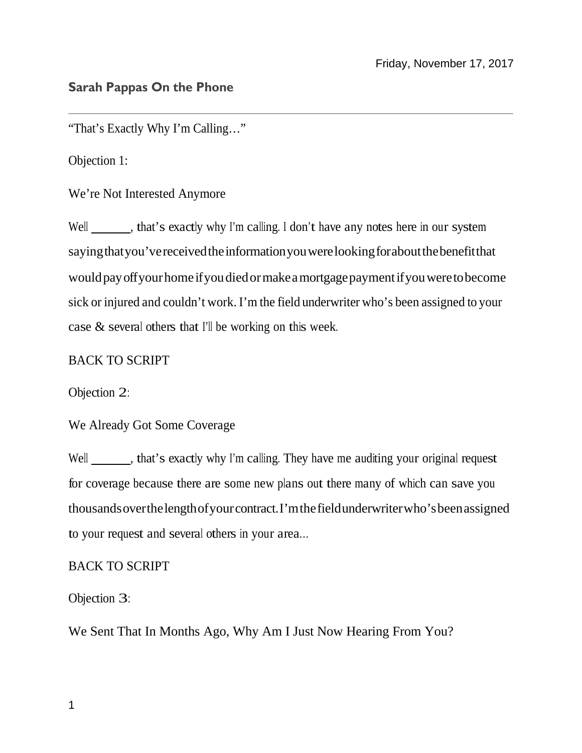### **Sarah Pappas On the Phone**

"That's Exactly Why I'm Calling…"

Objection 1:

We're Not Interested Anymore

Well \_\_\_\_\_\_, that's exactly why I'm calling. I don't have any notes here in our system sayingthatyou'vereceivedtheinformationyouwerelookingforaboutthebenefitthat wouldpayoffyourhome ifyoudiedormakeamortgagepaymentifyouweretobecome sick or injured and couldn't work. I'm the field underwriter who's been assigned to your case & several others that I'll be working on this week.

#### BACK TO SCRIPT

Objection 2:

We Already Got Some Coverage

Well \_\_\_\_\_\_, that's exactly why I'm calling. They have me auditing your original request for coverage because there are some new plans out there many of which can save you thousandsoverthelengthofyourcontract.I'mthefieldunderwriterwho'sbeenassigned to your request and several others in your area…

#### BACK TO SCRIPT

Objection 3:

We Sent That In Months Ago, Why Am I Just Now Hearing From You?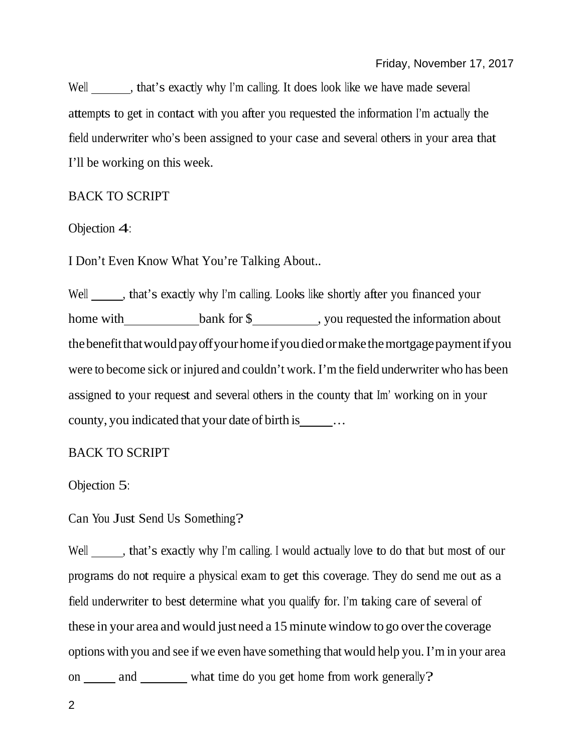Well , that's exactly why I'm calling. It does look like we have made several attempts to get in contact with you after you requested the information I'm actually the field underwriter who's been assigned to your case and several others in your area that I'll be working on this week.

### BACK TO SCRIPT

Objection 4:

I Don't Even Know What You're Talking About..

Well \_\_\_\_\_, that's exactly why I'm calling. Looks like shortly after you financed your home with bank for \$, you requested the information about the benefit that would pay off your home if you died or make the mortgage payment if you were to become sick or injured and couldn't work. I'm the field underwriter who has been assigned to your request and several others in the county that Im' working on in your county, you indicated that your date of birth is \_\_\_\_\_\_...

#### BACK TO SCRIPT

Objection 5:

Can You Just Send Us Something?

Well \_\_\_\_\_, that's exactly why I'm calling. I would actually love to do that but most of our programs do not require a physical exam to get this coverage. They do send me out as a field underwriter to best determine what you qualify for. I'm taking care of several of these in your area and would just need a 15 minute window to go over the coverage options with you and see if we even have something that would help you. I'm in your area on \_\_\_\_\_\_\_ and \_\_\_\_\_\_\_\_\_ what time do you get home from work generally?

2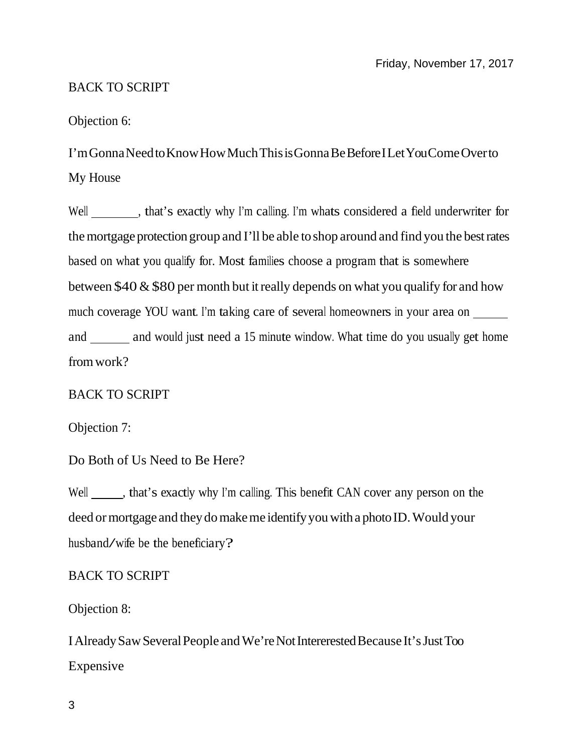# BACK TO SCRIPT

### Objection 6:

I'm Gonna Need to Know How Much This is Gonna Be Before I Let You Come Over to My House

Well \_\_\_\_\_\_\_\_, that's exactly why I'm calling. I'm whats considered a field underwriter for the mortgage protection group and I'll be able to shop around and find you the best rates based on what you qualify for. Most families choose a program that is somewhere between \$40  $\&$  \$80 per month but it really depends on what you qualify for and how much coverage YOU want. I'm taking care of several homeowners in your area on and \_\_\_\_\_\_\_ and would just need a 15 minute window. What time do you usually get home fromwork?

# BACK TO SCRIPT

Objection 7:

Do Both of Us Need to Be Here?

Well \_\_\_\_\_\_, that's exactly why I'm calling. This benefit CAN cover any person on the deed or mortgage and they do make me identify you with a photo ID. Would your husband/wife be the beneficiary?

# BACK TO SCRIPT

Objection 8:

IAlreadySawSeveralPeople andWe'reNotIntererestedBecause It'sJustToo Expensive